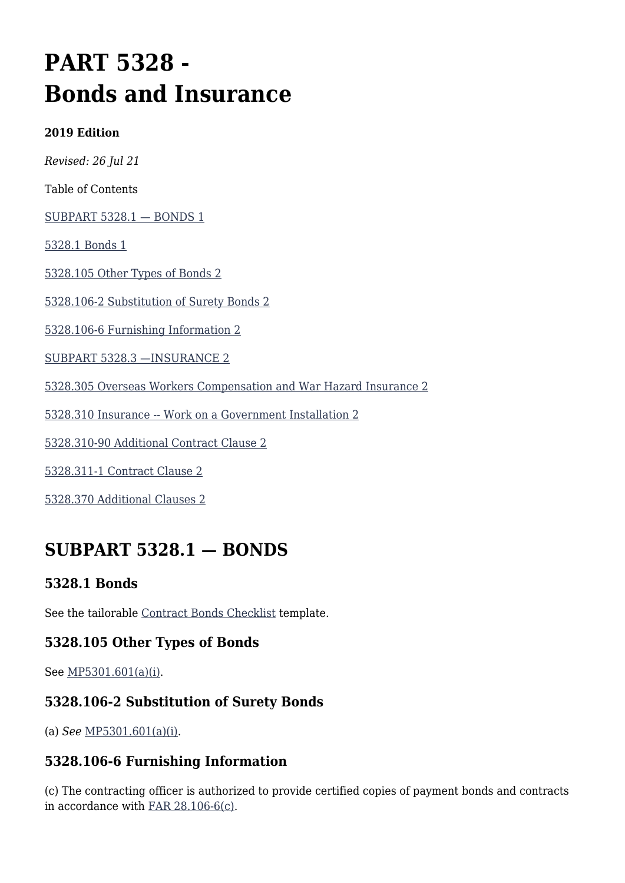# **PART 5328 - Bonds and Insurance**

#### **2019 Edition**

*Revised: 26 Jul 21*

Table of Contents

[SUBPART 5328.1 — BONDS 1](#page--1-0)

[5328.1 Bonds 1](#page--1-0)

[5328.105 Other Types of Bonds 2](#page--1-0)

[5328.106-2 Substitution of Surety Bonds 2](#page--1-0)

[5328.106-6 Furnishing Information 2](#page--1-0)

[SUBPART 5328.3 —INSURANCE 2](#page--1-0)

[5328.305 Overseas Workers Compensation and War Hazard Insurance 2](#page--1-0)

[5328.310 Insurance -- Work on a Government Installation 2](#page--1-0)

[5328.310-90 Additional Contract Clause 2](#page--1-0)

[5328.311-1 Contract Clause 2](#page--1-0)

[5328.370 Additional Clauses 2](#page--1-0)

# **SUBPART 5328.1 — BONDS**

### **5328.1 Bonds**

See the tailorable [Contract Bonds Checklist](https://usaf.dps.mil/sites/AFCC/KnowledgeCenter/contracting_templates/contract_bonds_checklist.pdf) template.

### **5328.105 Other Types of Bonds**

See [MP5301.601\(a\)\(i\).](https://origin-www.acquisition.gov/%5Brp:link:affars-mp-AFFARS-MP_PART-mp_5301.601(a)(i)%5D#p5328105)

### **5328.106-2 Substitution of Surety Bonds**

(a) *See* [MP5301.601\(a\)\(i\)](https://origin-www.acquisition.gov/%5Brp:link:affars-mp-AFFARS-MP_PART-mp_5301.601(a)(i)%5D#p53281062a).

### **5328.106-6 Furnishing Information**

(c) The contracting officer is authorized to provide certified copies of payment bonds and contracts in accordance with [FAR 28.106-6\(c\)](https://www.acquisition.gov/far/part-28#FAR_28_106_6).